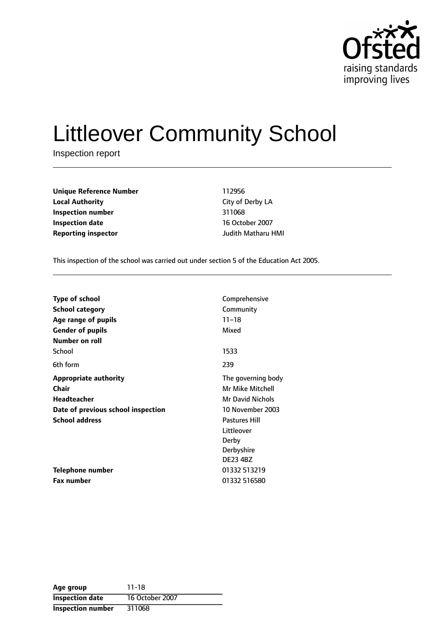

# Littleover Community School

Inspection report

| <b>Unique Reference Number</b> | 112956             |  |
|--------------------------------|--------------------|--|
| <b>Local Authority</b>         | City of Derby LA   |  |
| Inspection number              | 311068             |  |
| <b>Inspection date</b>         | 16 October 2007    |  |
| <b>Reporting inspector</b>     | Judith Matharu HMI |  |

This inspection of the school was carried out under section 5 of the Education Act 2005.

| <b>Type of school</b>              | Comprehensive           |
|------------------------------------|-------------------------|
| <b>School category</b>             | Community               |
| Age range of pupils                | $11 - 18$               |
| <b>Gender of pupils</b>            | Mixed                   |
| Number on roll                     |                         |
| School                             | 1533                    |
| 6th form                           | 239                     |
| <b>Appropriate authority</b>       | The governing body      |
| <b>Chair</b>                       | Mr Mike Mitchell        |
| <b>Headteacher</b>                 | <b>Mr David Nichols</b> |
| Date of previous school inspection | 10 November 2003        |
| <b>School address</b>              | <b>Pastures Hill</b>    |
|                                    | Littleover              |
|                                    | Derby                   |
|                                    | Derbyshire              |
|                                    | <b>DE23 4BZ</b>         |
| Telephone number                   | 01332 513219            |
| <b>Fax number</b>                  | 01332 516580            |

| Age group                | 11-18           |
|--------------------------|-----------------|
| <b>Inspection date</b>   | 16 October 2007 |
| <b>Inspection number</b> | 311068          |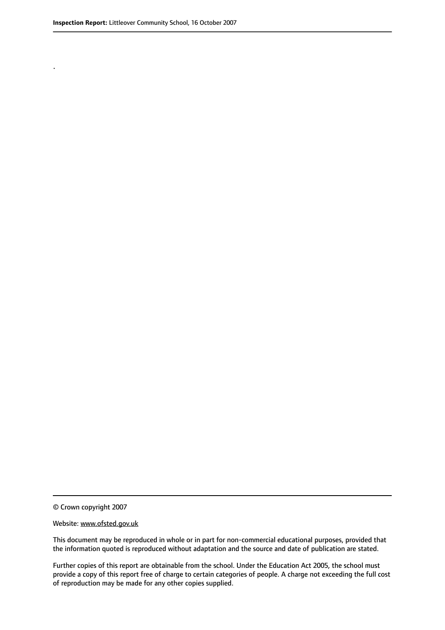.

This document may be reproduced in whole or in part for non-commercial educational purposes, provided that the information quoted is reproduced without adaptation and the source and date of publication are stated.

Further copies of this report are obtainable from the school. Under the Education Act 2005, the school must provide a copy of this report free of charge to certain categories of people. A charge not exceeding the full cost of reproduction may be made for any other copies supplied.

<sup>©</sup> Crown copyright 2007

Website: www.ofsted.gov.uk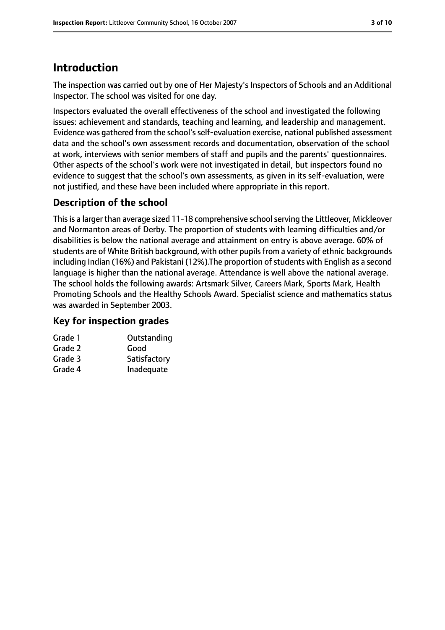# **Introduction**

The inspection was carried out by one of Her Majesty's Inspectors of Schools and an Additional Inspector. The school was visited for one day.

Inspectors evaluated the overall effectiveness of the school and investigated the following issues: achievement and standards, teaching and learning, and leadership and management. Evidence was gathered from the school's self-evaluation exercise, national published assessment data and the school's own assessment records and documentation, observation of the school at work, interviews with senior members of staff and pupils and the parents' questionnaires. Other aspects of the school's work were not investigated in detail, but inspectors found no evidence to suggest that the school's own assessments, as given in its self-evaluation, were not justified, and these have been included where appropriate in this report.

# **Description of the school**

This is a larger than average sized 11-18 comprehensive school serving the Littleover, Mickleover and Normanton areas of Derby. The proportion of students with learning difficulties and/or disabilities is below the national average and attainment on entry is above average. 60% of students are of White British background, with other pupils from a variety of ethnic backgrounds including Indian (16%) and Pakistani (12%). The proportion of students with English as a second language is higher than the national average. Attendance is well above the national average. The school holds the following awards: Artsmark Silver, Careers Mark, Sports Mark, Health Promoting Schools and the Healthy Schools Award. Specialist science and mathematics status was awarded in September 2003.

### **Key for inspection grades**

| Grade 1 | Outstanding  |
|---------|--------------|
| Grade 2 | Good         |
| Grade 3 | Satisfactory |
| Grade 4 | Inadequate   |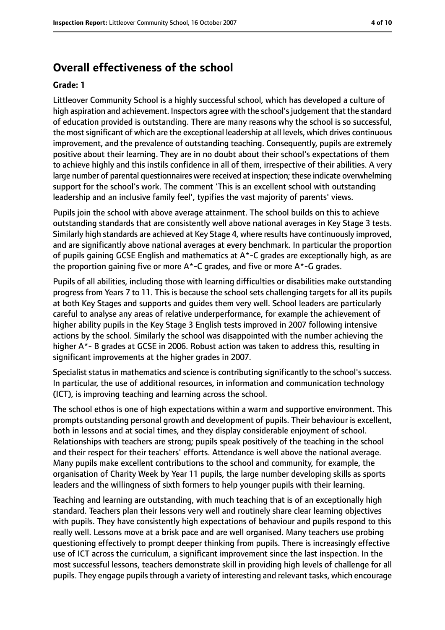# **Overall effectiveness of the school**

#### **Grade: 1**

Littleover Community School is a highly successful school, which has developed a culture of high aspiration and achievement. Inspectors agree with the school's judgement that the standard of education provided is outstanding. There are many reasons why the school is so successful, the most significant of which are the exceptional leadership at all levels, which drives continuous improvement, and the prevalence of outstanding teaching. Consequently, pupils are extremely positive about their learning. They are in no doubt about their school's expectations of them to achieve highly and this instils confidence in all of them, irrespective of their abilities. A very large number of parental questionnaires were received at inspection; these indicate overwhelming support for the school's work. The comment 'This is an excellent school with outstanding leadership and an inclusive family feel', typifies the vast majority of parents' views.

Pupils join the school with above average attainment. The school builds on this to achieve outstanding standards that are consistently well above national averages in Key Stage 3 tests. Similarly high standards are achieved at Key Stage 4, where results have continuously improved, and are significantly above national averages at every benchmark. In particular the proportion of pupils gaining GCSE English and mathematics at A\*-C grades are exceptionally high, as are the proportion gaining five or more A\*-C grades, and five or more A\*-G grades.

Pupils of all abilities, including those with learning difficulties or disabilities make outstanding progress from Years 7 to 11. This is because the school sets challenging targets for all its pupils at both Key Stages and supports and guides them very well. School leaders are particularly careful to analyse any areas of relative underperformance, for example the achievement of higher ability pupils in the Key Stage 3 English tests improved in 2007 following intensive actions by the school. Similarly the school was disappointed with the number achieving the higher A\*- B grades at GCSE in 2006. Robust action was taken to address this, resulting in significant improvements at the higher grades in 2007.

Specialist status in mathematics and science is contributing significantly to the school's success. In particular, the use of additional resources, in information and communication technology (ICT), is improving teaching and learning across the school.

The school ethos is one of high expectations within a warm and supportive environment. This prompts outstanding personal growth and development of pupils. Their behaviour is excellent, both in lessons and at social times, and they display considerable enjoyment of school. Relationships with teachers are strong; pupils speak positively of the teaching in the school and their respect for their teachers' efforts. Attendance is well above the national average. Many pupils make excellent contributions to the school and community, for example, the organisation of Charity Week by Year 11 pupils, the large number developing skills as sports leaders and the willingness of sixth formers to help younger pupils with their learning.

Teaching and learning are outstanding, with much teaching that is of an exceptionally high standard. Teachers plan their lessons very well and routinely share clear learning objectives with pupils. They have consistently high expectations of behaviour and pupils respond to this really well. Lessons move at a brisk pace and are well organised. Many teachers use probing questioning effectively to prompt deeper thinking from pupils. There is increasingly effective use of ICT across the curriculum, a significant improvement since the last inspection. In the most successful lessons, teachers demonstrate skill in providing high levels of challenge for all pupils. They engage pupils through a variety of interesting and relevant tasks, which encourage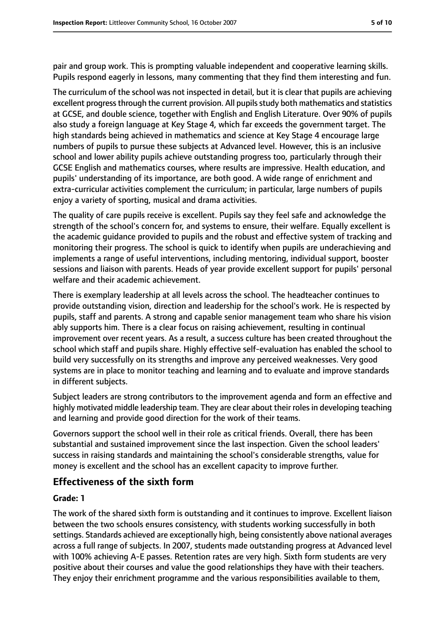pair and group work. This is prompting valuable independent and cooperative learning skills. Pupils respond eagerly in lessons, many commenting that they find them interesting and fun.

The curriculum of the school was not inspected in detail, but it is clear that pupils are achieving excellent progress through the current provision. All pupils study both mathematics and statistics at GCSE, and double science, together with English and English Literature. Over 90% of pupils also study a foreign language at Key Stage 4, which far exceeds the government target. The high standards being achieved in mathematics and science at Key Stage 4 encourage large numbers of pupils to pursue these subjects at Advanced level. However, this is an inclusive school and lower ability pupils achieve outstanding progress too, particularly through their GCSE English and mathematics courses, where results are impressive. Health education, and pupils' understanding of its importance, are both good. A wide range of enrichment and extra-curricular activities complement the curriculum; in particular, large numbers of pupils enjoy a variety of sporting, musical and drama activities.

The quality of care pupils receive is excellent. Pupils say they feel safe and acknowledge the strength of the school's concern for, and systems to ensure, their welfare. Equally excellent is the academic guidance provided to pupils and the robust and effective system of tracking and monitoring their progress. The school is quick to identify when pupils are underachieving and implements a range of useful interventions, including mentoring, individual support, booster sessions and liaison with parents. Heads of year provide excellent support for pupils' personal welfare and their academic achievement.

There is exemplary leadership at all levels across the school. The headteacher continues to provide outstanding vision, direction and leadership for the school's work. He is respected by pupils, staff and parents. A strong and capable senior management team who share his vision ably supports him. There is a clear focus on raising achievement, resulting in continual improvement over recent years. As a result, a success culture has been created throughout the school which staff and pupils share. Highly effective self-evaluation has enabled the school to build very successfully on its strengths and improve any perceived weaknesses. Very good systems are in place to monitor teaching and learning and to evaluate and improve standards in different subjects.

Subject leaders are strong contributors to the improvement agenda and form an effective and highly motivated middle leadership team. They are clear about their rolesin developing teaching and learning and provide good direction for the work of their teams.

Governors support the school well in their role as critical friends. Overall, there has been substantial and sustained improvement since the last inspection. Given the school leaders' success in raising standards and maintaining the school's considerable strengths, value for money is excellent and the school has an excellent capacity to improve further.

### **Effectiveness of the sixth form**

#### **Grade: 1**

The work of the shared sixth form is outstanding and it continues to improve. Excellent liaison between the two schools ensures consistency, with students working successfully in both settings. Standards achieved are exceptionally high, being consistently above national averages across a full range of subjects. In 2007, students made outstanding progress at Advanced level with 100% achieving A-E passes. Retention rates are very high. Sixth form students are very positive about their courses and value the good relationships they have with their teachers. They enjoy their enrichment programme and the various responsibilities available to them,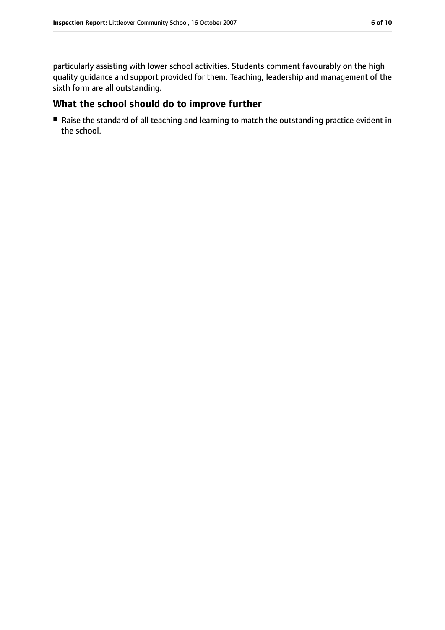particularly assisting with lower school activities. Students comment favourably on the high quality guidance and support provided for them. Teaching, leadership and management of the sixth form are all outstanding.

## **What the school should do to improve further**

■ Raise the standard of all teaching and learning to match the outstanding practice evident in the school.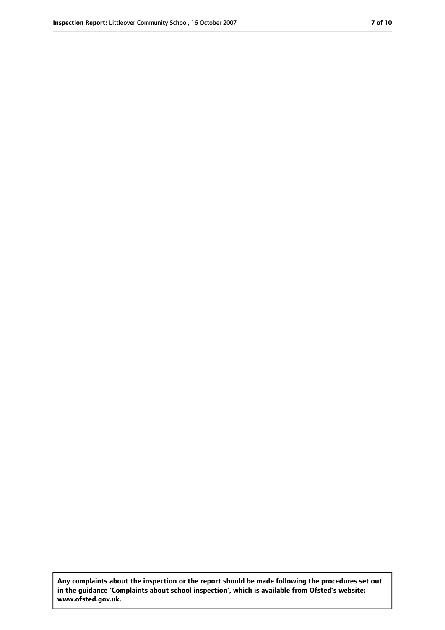**Any complaints about the inspection or the report should be made following the procedures set out in the guidance 'Complaints about school inspection', which is available from Ofsted's website: www.ofsted.gov.uk.**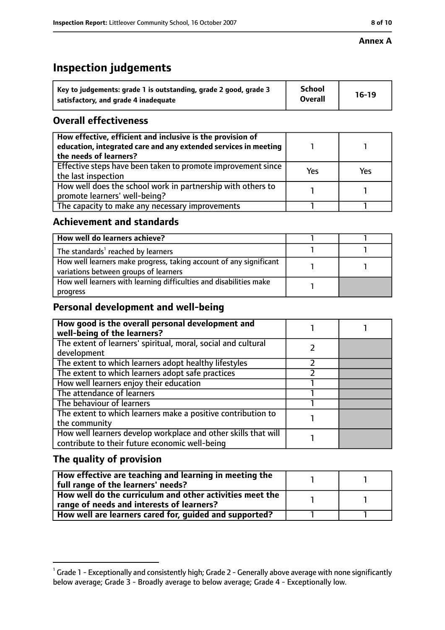#### **Annex A**

# **Inspection judgements**

| Key to judgements: grade 1 is outstanding, grade 2 good, grade 3 | <b>School</b><br><b>Overall</b> | $16-19$ |
|------------------------------------------------------------------|---------------------------------|---------|
| satisfactory, and grade 4 inadequate                             |                                 |         |

## **Overall effectiveness**

| How effective, efficient and inclusive is the provision of<br>education, integrated care and any extended services in meeting<br>the needs of learners? |     |     |
|---------------------------------------------------------------------------------------------------------------------------------------------------------|-----|-----|
| Effective steps have been taken to promote improvement since<br>the last inspection                                                                     | Yes | Yes |
| How well does the school work in partnership with others to<br>promote learners' well-being?                                                            |     |     |
| The capacity to make any necessary improvements                                                                                                         |     |     |

### **Achievement and standards**

| How well do learners achieve?                                                                               |  |
|-------------------------------------------------------------------------------------------------------------|--|
| The standards <sup>1</sup> reached by learners                                                              |  |
| How well learners make progress, taking account of any significant<br>variations between groups of learners |  |
| How well learners with learning difficulties and disabilities make<br>progress                              |  |

### **Personal development and well-being**

| How good is the overall personal development and<br>well-being of the learners?                                  |  |
|------------------------------------------------------------------------------------------------------------------|--|
| The extent of learners' spiritual, moral, social and cultural<br>development                                     |  |
| The extent to which learners adopt healthy lifestyles                                                            |  |
| The extent to which learners adopt safe practices                                                                |  |
| How well learners enjoy their education                                                                          |  |
| The attendance of learners                                                                                       |  |
| The behaviour of learners                                                                                        |  |
| The extent to which learners make a positive contribution to<br>the community                                    |  |
| How well learners develop workplace and other skills that will<br>contribute to their future economic well-being |  |

# **The quality of provision**

| How effective are teaching and learning in meeting the<br>full range of the learners' needs?          |  |
|-------------------------------------------------------------------------------------------------------|--|
| How well do the curriculum and other activities meet the<br>range of needs and interests of learners? |  |
| How well are learners cared for, guided and supported?                                                |  |

 $^1$  Grade 1 - Exceptionally and consistently high; Grade 2 - Generally above average with none significantly below average; Grade 3 - Broadly average to below average; Grade 4 - Exceptionally low.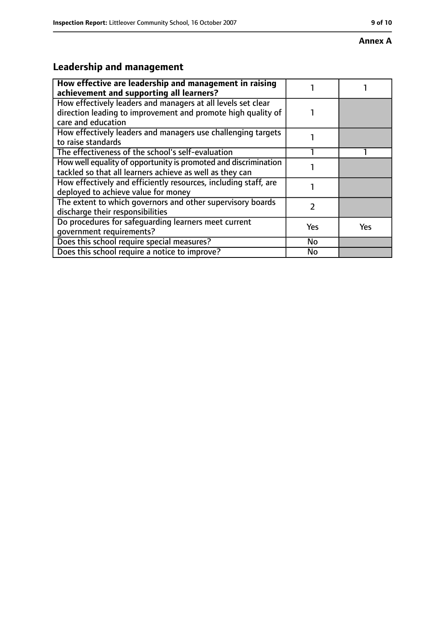# **Annex A**

# **Leadership and management**

| How effective are leadership and management in raising<br>achievement and supporting all learners?                                                 |     |     |
|----------------------------------------------------------------------------------------------------------------------------------------------------|-----|-----|
| How effectively leaders and managers at all levels set clear<br>direction leading to improvement and promote high quality of<br>care and education |     |     |
| How effectively leaders and managers use challenging targets<br>to raise standards                                                                 |     |     |
| The effectiveness of the school's self-evaluation                                                                                                  |     |     |
| How well equality of opportunity is promoted and discrimination<br>tackled so that all learners achieve as well as they can                        |     |     |
| How effectively and efficiently resources, including staff, are<br>deployed to achieve value for money                                             |     |     |
| The extent to which governors and other supervisory boards<br>discharge their responsibilities                                                     | 2   |     |
| Do procedures for safequarding learners meet current<br>qovernment requirements?                                                                   | Yes | Yes |
| Does this school require special measures?                                                                                                         | No  |     |
| Does this school require a notice to improve?                                                                                                      | No  |     |